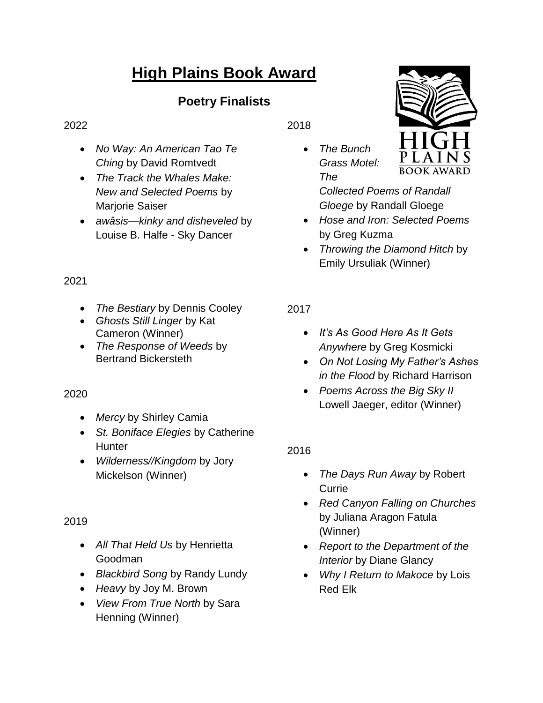# **High Plains Book Award**

# **Poetry Finalists**

#### 2022

- *No Way: An American Tao Te Ching* by David Romtvedt
- *The Track the Whales Make: New and Selected Poems* by Marjorie Saiser
- *awâsis—kinky and disheveled* by Louise B. Halfe - Sky Dancer

### 2021

- *The Bestiary* by Dennis Cooley
- *Ghosts Still Linger* by Kat Cameron (Winner)
- *The Response of Weeds* by Bertrand Bickersteth

# 2020

- *Mercy* by Shirley Camia
- *St. Boniface Elegies* by Catherine **Hunter**
- *Wilderness//Kingdom* by Jory Mickelson (Winner)

# 2019

- *All That Held Us* by Henrietta Goodman
- *Blackbird Song* by Randy Lundy
- *Heavy* by Joy M. Brown
- *View From True North* by Sara Henning (Winner)

2018

 *The Bunch Grass Motel: The* 



*Collected Poems of Randall Gloege* by Randall Gloege

- *Hose and Iron: Selected Poems* by Greg Kuzma
- *Throwing the Diamond Hitch* by Emily Ursuliak (Winner)

# 2017

- *It's As Good Here As It Gets Anywhere* by Greg Kosmicki
- *On Not Losing My Father's Ashes in the Flood* by Richard Harrison
- *Poems Across the Big Sky II* Lowell Jaeger, editor (Winner)

# 2016

- *The Days Run Away* by Robert **Currie**
- *Red Canyon Falling on Churches* by Juliana Aragon Fatula (Winner)
- *Report to the Department of the Interior* by Diane Glancy
- *Why I Return to Makoce* by Lois Red Elk